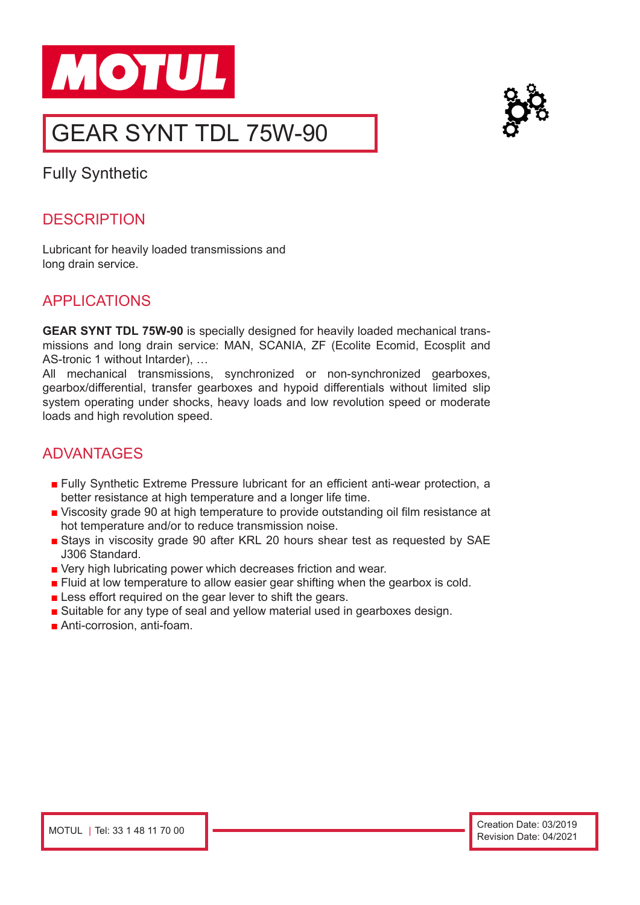



# GEAR SYNT TDL 75W-90

Fully Synthetic

#### **DESCRIPTION**

Lubricant for heavily loaded transmissions and long drain service.

#### APPLICATIONS

**GEAR SYNT TDL 75W-90** is specially designed for heavily loaded mechanical transmissions and long drain service: MAN, SCANIA, ZF (Ecolite Ecomid, Ecosplit and AS-tronic 1 without Intarder), …

All mechanical transmissions, synchronized or non-synchronized gearboxes, gearbox/differential, transfer gearboxes and hypoid differentials without limited slip system operating under shocks, heavy loads and low revolution speed or moderate loads and high revolution speed.

### ADVANTAGES

- Fully Synthetic Extreme Pressure lubricant for an efficient anti-wear protection, a better resistance at high temperature and a longer life time.
- Viscosity grade 90 at high temperature to provide outstanding oil film resistance at hot temperature and/or to reduce transmission noise.
- Stays in viscosity grade 90 after KRL 20 hours shear test as requested by SAE J306 Standard.
- Very high lubricating power which decreases friction and wear.
- Fluid at low temperature to allow easier gear shifting when the gearbox is cold.
- Less effort required on the gear lever to shift the gears.
- Suitable for any type of seal and yellow material used in gearboxes design.
- Anti-corrosion, anti-foam.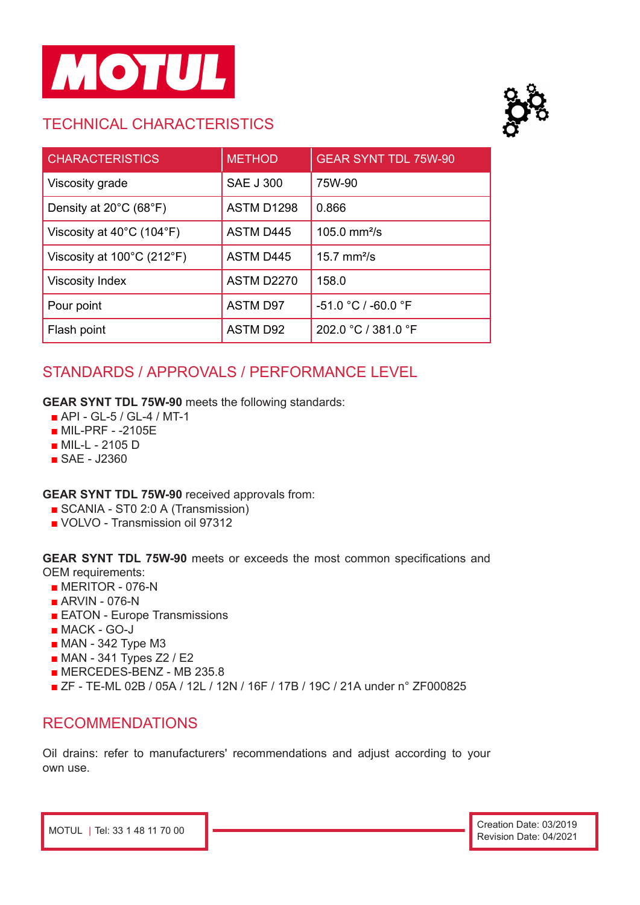

## TECHNICAL CHARACTERISTICS



| <b>CHARACTERISTICS</b>                          | <b>METHOD</b>     | <b>GEAR SYNT TDL 75W-90</b> |
|-------------------------------------------------|-------------------|-----------------------------|
| Viscosity grade                                 | <b>SAE J 300</b>  | 75W-90                      |
| Density at 20°C (68°F)                          | ASTM D1298        | 0.866                       |
| Viscosity at $40^{\circ}$ C (104 $^{\circ}$ F)  | <b>ASTM D445</b>  | 105.0 $mm^2/s$              |
| Viscosity at $100^{\circ}$ C (212 $^{\circ}$ F) | <b>ASTM D445</b>  | $15.7$ mm <sup>2</sup> /s   |
| <b>Viscosity Index</b>                          | <b>ASTM D2270</b> | 158.0                       |
| Pour point                                      | <b>ASTM D97</b>   | -51.0 °C / -60.0 °F         |
| Flash point                                     | <b>ASTM D92</b>   | 202.0 °C / 381.0 °F         |

## STANDARDS / APPROVALS / PERFORMANCE LEVEL

**GEAR SYNT TDL 75W-90** meets the following standards:

- API GL-5 / GL-4 / MT-1
- MIL-PRF -2105E
- MIL-L 2105 D
- SAE J2360

**GEAR SYNT TDL 75W-90** received approvals from:

- SCANIA ST0 2:0 A (Transmission)
- VOLVO Transmission oil 97312

**GEAR SYNT TDL 75W-90** meets or exceeds the most common specifications and OEM requirements:

- MERITOR 076-N
- ARVIN 076-N
- EATON Europe Transmissions
- MACK GO-J
- MAN 342 Type M3
- MAN 341 Types Z2 / E2
- MERCEDES-BENZ MB 235.8
- ZF TE-ML 02B / 05A / 12L / 12N / 16F / 17B / 19C / 21A under n° ZF000825

#### RECOMMENDATIONS

Oil drains: refer to manufacturers' recommendations and adjust according to your own use.